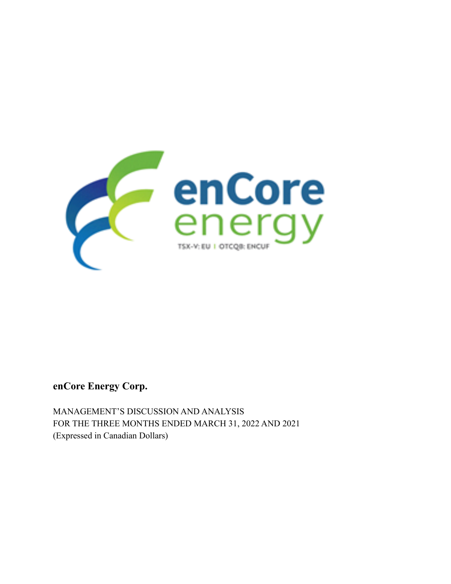

**enCore Energy Corp.**

MANAGEMENT'S DISCUSSION AND ANALYSIS FOR THE THREE MONTHS ENDED MARCH 31, 2022 AND 2021 (Expressed in Canadian Dollars)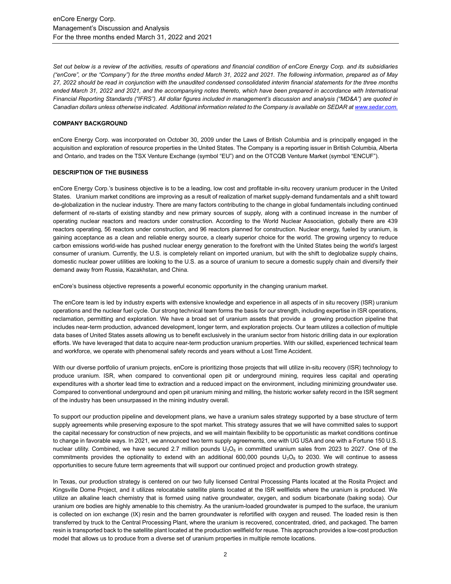*Set out below is a review of the activities, results of operations and financial condition of enCore Energy Corp. and its subsidiaries ("enCore", or the "Company") for the three months ended March 31, 2022 and 2021. The following information, prepared as of May 27, 2022 should be read in conjunction with the unaudited condensed consolidated interim financial statements for the three months ended March 31, 2022 and 2021, and the accompanying notes thereto, which have been prepared in accordance with International Financial Reporting Standards ("IFRS"). All dollar figures included in management's discussion and analysis ("MD&A") are quoted in Canadian dollars unless otherwise indicated. Additional information related to the Company is available on SEDAR a[t www.sedar.com.](about:blank)*

### **COMPANY BACKGROUND**

enCore Energy Corp. was incorporated on October 30, 2009 under the Laws of British Columbia and is principally engaged in the acquisition and exploration of resource properties in the United States. The Company is a reporting issuer in British Columbia, Alberta and Ontario, and trades on the TSX Venture Exchange (symbol "EU") and on the OTCQB Venture Market (symbol "ENCUF").

#### **DESCRIPTION OF THE BUSINESS**

enCore Energy Corp.'s business objective is to be a leading, low cost and profitable in-situ recovery uranium producer in the United States. Uranium market conditions are improving as a result of realization of market supply-demand fundamentals and a shift toward de-globalization in the nuclear industry. There are many factors contributing to the change in global fundamentals including continued deferment of re-starts of existing standby and new primary sources of supply, along with a continued increase in the number of operating nuclear reactors and reactors under construction. According to the World Nuclear Association, globally there are 439 reactors operating, 56 reactors under construction, and 96 reactors planned for construction. Nuclear energy, fueled by uranium, is gaining acceptance as a clean and reliable energy source, a clearly superior choice for the world. The growing urgency to reduce carbon emissions world-wide has pushed nuclear energy generation to the forefront with the United States being the world's largest consumer of uranium. Currently, the U.S. is completely reliant on imported uranium, but with the shift to deglobalize supply chains, domestic nuclear power utilities are looking to the U.S. as a source of uranium to secure a domestic supply chain and diversify their demand away from Russia, Kazakhstan, and China.

enCore's business objective represents a powerful economic opportunity in the changing uranium market.

The enCore team is led by industry experts with extensive knowledge and experience in all aspects of in situ recovery (ISR) uranium operations and the nuclear fuel cycle. Our strong technical team forms the basis for our strength, including expertise in ISR operations, reclamation, permitting and exploration. We have a broad set of uranium assets that provide a growing production pipeline that includes near-term production, advanced development, longer term, and exploration projects. Our team utilizes a collection of multiple data bases of United States assets allowing us to benefit exclusively in the uranium sector from historic drilling data in our exploration efforts. We have leveraged that data to acquire near-term production uranium properties. With our skilled, experienced technical team and workforce, we operate with phenomenal safety records and years without a Lost Time Accident.

With our diverse portfolio of uranium projects, enCore is prioritizing those projects that will utilize in-situ recovery (ISR) technology to produce uranium. ISR, when compared to conventional open pit or underground mining, requires less capital and operating expenditures with a shorter lead time to extraction and a reduced impact on the environment, including minimizing groundwater use. Compared to conventional underground and open pit uranium mining and milling, the historic worker safety record in the ISR segment of the industry has been unsurpassed in the mining industry overall.

To support our production pipeline and development plans, we have a uranium sales strategy supported by a base structure of term supply agreements while preserving exposure to the spot market. This strategy assures that we will have committed sales to support the capital necessary for construction of new projects, and we will maintain flexibility to be opportunistic as market conditions continue to change in favorable ways. In 2021, we announced two term supply agreements, one with UG USA and one with a Fortune 150 U.S. nuclear utility. Combined, we have secured 2.7 million pounds  $U_3O_8$  in committed uranium sales from 2023 to 2027. One of the commitments provides the optionality to extend with an additional 600,000 pounds  $U_3O_8$  to 2030. We will continue to assess opportunities to secure future term agreements that will support our continued project and production growth strategy.

In Texas, our production strategy is centered on our two fully licensed Central Processing Plants located at the Rosita Project and Kingsville Dome Project, and it utilizes relocatable satellite plants located at the ISR wellfields where the uranium is produced. We utilize an alkaline leach chemistry that is formed using native groundwater, oxygen, and sodium bicarbonate (baking soda). Our uranium ore bodies are highly amenable to this chemistry. As the uranium-loaded groundwater is pumped to the surface, the uranium is collected on ion exchange (IX) resin and the barren groundwater is refortified with oxygen and reused. The loaded resin is then transferred by truck to the Central Processing Plant, where the uranium is recovered, concentrated, dried, and packaged. The barren resin is transported back to the satellite plant located at the production wellfield for reuse. This approach provides a low-cost production model that allows us to produce from a diverse set of uranium properties in multiple remote locations.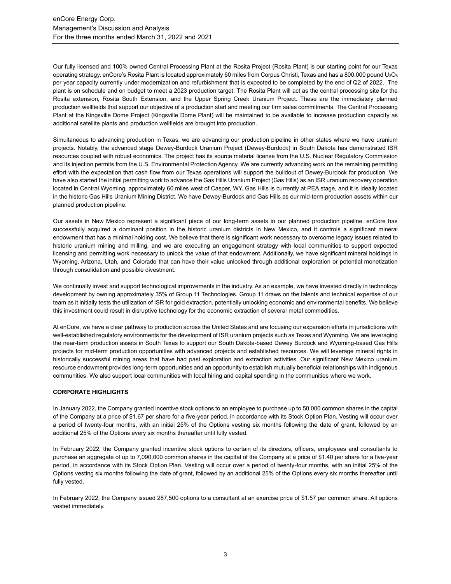Our fully licensed and 100% owned Central Processing Plant at the Rosita Project (Rosita Plant) is our starting point for our Texas operating strategy. enCore's Rosita Plant is located approximately 60 miles from Corpus Christi, Texas and has a 800,000 pound  $U_3O_8$ per year capacity currently under modernization and refurbishment that is expected to be completed by the end of Q2 of 2022. The plant is on schedule and on budget to meet a 2023 production target. The Rosita Plant will act as the central processing site for the Rosita extension, Rosita South Extension, and the Upper Spring Creek Uranium Project. These are the immediately planned production wellfields that support our objective of a production start and meeting our firm sales commitments. The Central Processing Plant at the Kingsville Dome Project (Kingsville Dome Plant) will be maintained to be available to increase production capacity as additional satellite plants and production wellfields are brought into production.

Simultaneous to advancing production in Texas, we are advancing our production pipeline in other states where we have uranium projects. Notably, the advanced stage Dewey-Burdock Uranium Project (Dewey-Burdock) in South Dakota has demonstrated ISR resources coupled with robust economics. The project has its source material license from the U.S. Nuclear Regulatory Commission and its injection permits from the U.S. Environmental Protection Agency. We are currently advancing work on the remaining permitting effort with the expectation that cash flow from our Texas operations will support the buildout of Dewey-Burdock for production. We have also started the initial permitting work to advance the Gas Hills Uranium Project (Gas Hills) as an ISR uranium recovery operation located in Central Wyoming, approximately 60 miles west of Casper, WY. Gas Hills is currently at PEA stage, and it is ideally located in the historic Gas Hills Uranium Mining District. We have Dewey-Burdock and Gas Hills as our mid-term production assets within our planned production pipeline.

Our assets in New Mexico represent a significant piece of our long-term assets in our planned production pipeline. enCore has successfully acquired a dominant position in the historic uranium districts in New Mexico, and it controls a significant mineral endowment that has a minimal holding cost. We believe that there is significant work necessary to overcome legacy issues related to historic uranium mining and milling, and we are executing an engagement strategy with local communities to support expected licensing and permitting work necessary to unlock the value of that endowment. Additionally, we have significant mineral holdings in Wyoming, Arizona, Utah, and Colorado that can have their value unlocked through additional exploration or potential monetization through consolidation and possible divestment.

We continually invest and support technological improvements in the industry. As an example, we have invested directly in technology development by owning approximately 35% of Group 11 Technologies. Group 11 draws on the talents and technical expertise of our team as it initially tests the utilization of ISR for gold extraction, potentially unlocking economic and environmental benefits. We believe this investment could result in disruptive technology for the economic extraction of several metal commodities.

At enCore, we have a clear pathway to production across the United States and are focusing our expansion efforts in jurisdictions with well-established regulatory environments for the development of ISR uranium projects such as Texas and Wyoming. We are leveraging the near-term production assets in South Texas to support our South Dakota-based Dewey Burdock and Wyoming-based Gas Hills projects for mid-term production opportunities with advanced projects and established resources. We will leverage mineral rights in historically successful mining areas that have had past exploration and extraction activities. Our significant New Mexico uranium resource endowment provides long-term opportunities and an opportunity to establish mutually beneficial relationships with indigenous communities. We also support local communities with local hiring and capital spending in the communities where we work.

## **CORPORATE HIGHLIGHTS**

In January 2022, the Company granted incentive stock options to an employee to purchase up to 50,000 common shares in the capital of the Company at a price of \$1.67 per share for a five-year period, in accordance with its Stock Option Plan. Vesting will occur over a period of twenty-four months, with an initial 25% of the Options vesting six months following the date of grant, followed by an additional 25% of the Options every six months thereafter until fully vested.

In February 2022, the Company granted incentive stock options to certain of its directors, officers, employees and consultants to purchase an aggregate of up to 7,090,000 common shares in the capital of the Company at a price of \$1.40 per share for a five-year period, in accordance with its Stock Option Plan. Vesting will occur over a period of twenty-four months, with an initial 25% of the Options vesting six months following the date of grant, followed by an additional 25% of the Options every six months thereafter until fully vested.

In February 2022, the Company issued 287,500 options to a consultant at an exercise price of \$1.57 per common share. All options vested immediately.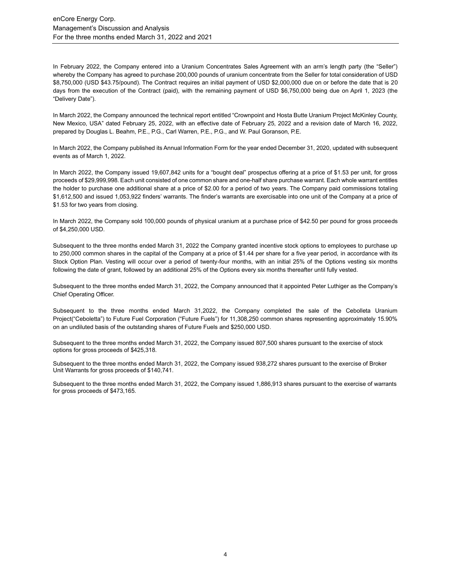In February 2022, the Company entered into a Uranium Concentrates Sales Agreement with an arm's length party (the "Seller") whereby the Company has agreed to purchase 200,000 pounds of uranium concentrate from the Seller for total consideration of USD \$8,750,000 (USD \$43.75/pound). The Contract requires an initial payment of USD \$2,000,000 due on or before the date that is 20 days from the execution of the Contract (paid), with the remaining payment of USD \$6,750,000 being due on April 1, 2023 (the "Delivery Date").

In March 2022, the Company announced the technical report entitled "Crownpoint and Hosta Butte Uranium Project McKinley County, New Mexico, USA" dated February 25, 2022, with an effective date of February 25, 2022 and a revision date of March 16, 2022, prepared by Douglas L. Beahm, P.E., P.G., Carl Warren, P.E., P.G., and W. Paul Goranson, P.E.

In March 2022, the Company published its Annual Information Form for the year ended December 31, 2020, updated with subsequent events as of March 1, 2022.

In March 2022, the Company issued 19,607,842 units for a "bought deal" prospectus offering at a price of \$1.53 per unit, for gross proceeds of \$29,999,998. Each unit consisted of one common share and one-half share purchase warrant. Each whole warrant entitles the holder to purchase one additional share at a price of \$2.00 for a period of two years. The Company paid commissions totaling \$1,612,500 and issued 1,053,922 finders' warrants. The finder's warrants are exercisable into one unit of the Company at a price of \$1.53 for two years from closing.

In March 2022, the Company sold 100,000 pounds of physical uranium at a purchase price of \$42.50 per pound for gross proceeds of \$4,250,000 USD.

Subsequent to the three months ended March 31, 2022 the Company granted incentive stock options to employees to purchase up to 250,000 common shares in the capital of the Company at a price of \$1.44 per share for a five year period, in accordance with its Stock Option Plan. Vesting will occur over a period of twenty-four months, with an initial 25% of the Options vesting six months following the date of grant, followed by an additional 25% of the Options every six months thereafter until fully vested.

Subsequent to the three months ended March 31, 2022, the Company announced that it appointed Peter Luthiger as the Company's Chief Operating Officer.

Subsequent to the three months ended March 31,2022, the Company completed the sale of the Cebolleta Uranium Project("Ceboletta") to Future Fuel Corporation ("Future Fuels") for 11,308,250 common shares representing approximately 15.90% on an undiluted basis of the outstanding shares of Future Fuels and \$250,000 USD.

Subsequent to the three months ended March 31, 2022, the Company issued 807,500 shares pursuant to the exercise of stock options for gross proceeds of \$425,318.

Subsequent to the three months ended March 31, 2022, the Company issued 938,272 shares pursuant to the exercise of Broker Unit Warrants for gross proceeds of \$140,741.

Subsequent to the three months ended March 31, 2022, the Company issued 1,886,913 shares pursuant to the exercise of warrants for gross proceeds of \$473,165.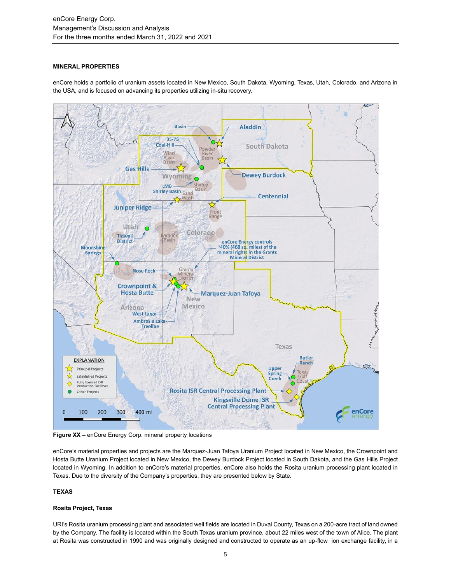## **MINERAL PROPERTIES**

enCore holds a portfolio of uranium assets located in New Mexico, South Dakota, Wyoming, Texas, Utah, Colorado, and Arizona in the USA, and is focused on advancing its properties utilizing in-situ recovery.



**Figure XX –** enCore Energy Corp. mineral property locations

enCore's material properties and projects are the Marquez-Juan Tafoya Uranium Project located in New Mexico, the Crownpoint and Hosta Butte Uranium Project located in New Mexico, the Dewey Burdock Project located in South Dakota, and the Gas Hills Project located in Wyoming. In addition to enCore's material properties, enCore also holds the Rosita uranium processing plant located in Texas. Due to the diversity of the Company's properties, they are presented below by State.

# **TEXAS**

## **Rosita Project, Texas**

URI's Rosita uranium processing plant and associated well fields are located in Duval County, Texas on a 200-acre tract of land owned by the Company. The facility is located within the South Texas uranium province, about 22 miles west of the town of Alice. The plant at Rosita was constructed in 1990 and was originally designed and constructed to operate as an up-flow ion exchange facility, in a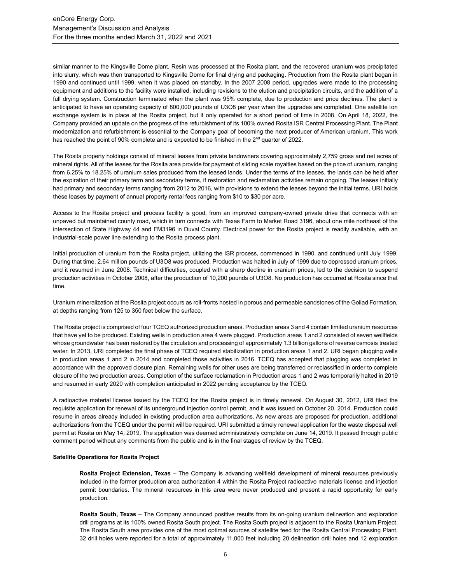similar manner to the Kingsville Dome plant. Resin was processed at the Rosita plant, and the recovered uranium was precipitated into slurry, which was then transported to Kingsville Dome for final drying and packaging. Production from the Rosita plant began in 1990 and continued until 1999, when it was placed on standby. In the 2007 2008 period, upgrades were made to the processing equipment and additions to the facility were installed, including revisions to the elution and precipitation circuits, and the addition of a full drying system. Construction terminated when the plant was 95% complete, due to production and price declines. The plant is anticipated to have an operating capacity of 800,000 pounds of U3O8 per year when the upgrades are completed. One satellite ion exchange system is in place at the Rosita project, but it only operated for a short period of time in 2008. On April 18, 2022, the Company provided an update on the progress of the refurbishment of its 100% owned Rosita ISR Central Processing Plant. The Plant modernization and refurbishment is essential to the Company goal of becoming the next producer of American uranium. This work has reached the point of 90% complete and is expected to be finished in the  $2<sup>nd</sup>$  quarter of 2022.

The Rosita property holdings consist of mineral leases from private landowners covering approximately 2,759 gross and net acres of mineral rights. All of the leases for the Rosita area provide for payment of sliding scale royalties based on the price of uranium, ranging from 6.25% to 18.25% of uranium sales produced from the leased lands. Under the terms of the leases, the lands can be held after the expiration of their primary term and secondary terms, if restoration and reclamation activities remain ongoing. The leases initially had primary and secondary terms ranging from 2012 to 2016, with provisions to extend the leases beyond the initial terms. URI holds these leases by payment of annual property rental fees ranging from \$10 to \$30 per acre.

Access to the Rosita project and process facility is good, from an improved company-owned private drive that connects with an unpaved but maintained county road, which in turn connects with Texas Farm to Market Road 3196, about one mile northeast of the intersection of State Highway 44 and FM3196 in Duval County. Electrical power for the Rosita project is readily available, with an industrial-scale power line extending to the Rosita process plant.

Initial production of uranium from the Rosita project, utilizing the ISR process, commenced in 1990, and continued until July 1999. During that time, 2.64 million pounds of U3O8 was produced. Production was halted in July of 1999 due to depressed uranium prices, and it resumed in June 2008. Technical difficulties, coupled with a sharp decline in uranium prices, led to the decision to suspend production activities in October 2008, after the production of 10,200 pounds of U3O8. No production has occurred at Rosita since that time.

Uranium mineralization at the Rosita project occurs as roll-fronts hosted in porous and permeable sandstones of the Goliad Formation, at depths ranging from 125 to 350 feet below the surface.

The Rosita project is comprised of four TCEQ authorized production areas. Production areas 3 and 4 contain limited uranium resources that have yet to be produced. Existing wells in production area 4 were plugged. Production areas 1 and 2 consisted of seven wellfields whose groundwater has been restored by the circulation and processing of approximately 1.3 billion gallons of reverse osmosis treated water. In 2013, URI completed the final phase of TCEQ required stabilization in production areas 1 and 2. URI began plugging wells in production areas 1 and 2 in 2014 and completed those activities in 2016. TCEQ has accepted that plugging was completed in accordance with the approved closure plan. Remaining wells for other uses are being transferred or reclassified in order to complete closure of the two production areas. Completion of the surface reclamation in Production areas 1 and 2 was temporarily halted in 2019 and resumed in early 2020 with completion anticipated in 2022 pending acceptance by the TCEQ.

A radioactive material license issued by the TCEQ for the Rosita project is in timely renewal. On August 30, 2012, URI filed the requisite application for renewal of its underground injection control permit, and it was issued on October 20, 2014. Production could resume in areas already included in existing production area authorizations. As new areas are proposed for production, additional authorizations from the TCEQ under the permit will be required. URI submitted a timely renewal application for the waste disposal well permit at Rosita on May 14, 2019. The application was deemed administratively complete on June 14, 2019. It passed through public comment period without any comments from the public and is in the final stages of review by the TCEQ.

### **Satellite Operations for Rosita Project**

**Rosita Project Extension, Texas** – The Company is advancing wellfield development of mineral resources previously included in the former production area authorization 4 within the Rosita Project radioactive materials license and injection permit boundaries. The mineral resources in this area were never produced and present a rapid opportunity for early production.

**Rosita South, Texas** – The Company announced positive results from its on-going uranium delineation and exploration drill programs at its 100% owned Rosita South project. The Rosita South project is adjacent to the Rosita Uranium Project. The Rosita South area provides one of the most optimal sources of satellite feed for the Rosita Central Processing Plant. 32 drill holes were reported for a total of approximately 11,000 feet including 20 delineation drill holes and 12 exploration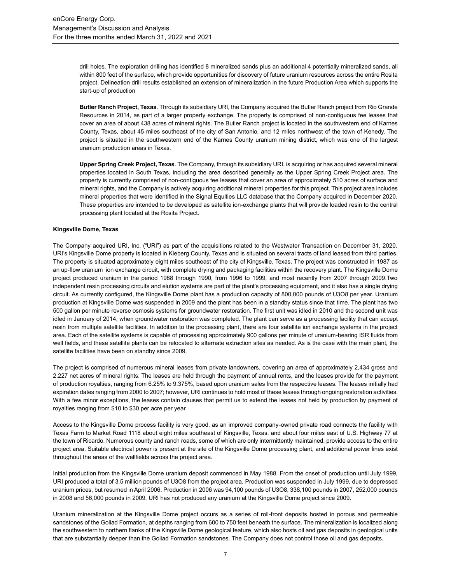drill holes. The exploration drilling has identified 8 mineralized sands plus an additional 4 potentially mineralized sands, all within 800 feet of the surface, which provide opportunities for discovery of future uranium resources across the entire Rosita project. Delineation drill results established an extension of mineralization in the future Production Area which supports the start-up of production

**Butler Ranch Project, Texas**. Through its subsidiary URI, the Company acquired the Butler Ranch project from Rio Grande Resources in 2014, as part of a larger property exchange. The property is comprised of non-contiguous fee leases that cover an area of about 438 acres of mineral rights. The Butler Ranch project is located in the southwestern end of Karnes County, Texas, about 45 miles southeast of the city of San Antonio, and 12 miles northwest of the town of Kenedy. The project is situated in the southwestern end of the Karnes County uranium mining district, which was one of the largest uranium production areas in Texas.

**Upper Spring Creek Project, Texas**. The Company, through its subsidiary URI, is acquiring or has acquired several mineral properties located in South Texas, including the area described generally as the Upper Spring Creek Project area. The property is currently comprised of non-contiguous fee leases that cover an area of approximately 510 acres of surface and mineral rights, and the Company is actively acquiring additional mineral properties for this project. This project area includes mineral properties that were identified in the Signal Equities LLC database that the Company acquired in December 2020. These properties are intended to be developed as satellite ion-exchange plants that will provide loaded resin to the central processing plant located at the Rosita Project.

#### **Kingsville Dome, Texas**

The Company acquired URI, Inc. ("URI") as part of the acquisitions related to the Westwater Transaction on December 31, 2020. URI's Kingsville Dome property is located in Kleberg County, Texas and is situated on several tracts of land leased from third parties. The property is situated approximately eight miles southeast of the city of Kingsville, Texas. The project was constructed in 1987 as an up-flow uranium ion exchange circuit, with complete drying and packaging facilities within the recovery plant. The Kingsville Dome project produced uranium in the period 1988 through 1990, from 1996 to 1999, and most recently from 2007 through 2009.Two independent resin processing circuits and elution systems are part of the plant's processing equipment, and it also has a single drying circuit. As currently configured, the Kingsville Dome plant has a production capacity of 800,000 pounds of U3O8 per year. Uranium production at Kingsville Dome was suspended in 2009 and the plant has been in a standby status since that time. The plant has two 500 gallon per minute reverse osmosis systems for groundwater restoration. The first unit was idled in 2010 and the second unit was idled in January of 2014, when groundwater restoration was completed. The plant can serve as a processing facility that can accept resin from multiple satellite facilities. In addition to the processing plant, there are four satellite ion exchange systems in the project area. Each of the satellite systems is capable of processing approximately 900 gallons per minute of uranium-bearing ISR fluids from well fields, and these satellite plants can be relocated to alternate extraction sites as needed. As is the case with the main plant, the satellite facilities have been on standby since 2009.

The project is comprised of numerous mineral leases from private landowners, covering an area of approximately 2,434 gross and 2,227 net acres of mineral rights. The leases are held through the payment of annual rents, and the leases provide for the payment of production royalties, ranging from 6.25% to 9.375%, based upon uranium sales from the respective leases. The leases initially had expiration dates ranging from 2000 to 2007; however, URI continues to hold most of these leases through ongoing restoration activities. With a few minor exceptions, the leases contain clauses that permit us to extend the leases not held by production by payment of royalties ranging from \$10 to \$30 per acre per year

Access to the Kingsville Dome process facility is very good, as an improved company-owned private road connects the facility with Texas Farm to Market Road 1118 about eight miles southeast of Kingsville, Texas, and about four miles east of U.S. Highway 77 at the town of Ricardo. Numerous county and ranch roads, some of which are only intermittently maintained, provide access to the entire project area. Suitable electrical power is present at the site of the Kingsville Dome processing plant, and additional power lines exist throughout the areas of the wellfields across the project area.

Initial production from the Kingsville Dome uranium deposit commenced in May 1988. From the onset of production until July 1999, URI produced a total of 3.5 million pounds of U3O8 from the project area. Production was suspended in July 1999, due to depressed uranium prices, but resumed in April 2006. Production in 2006 was 94,100 pounds of U3O8, 338,100 pounds in 2007, 252,000 pounds in 2008 and 56,000 pounds in 2009. URI has not produced any uranium at the Kingsville Dome project since 2009.

Uranium mineralization at the Kingsville Dome project occurs as a series of roll-front deposits hosted in porous and permeable sandstones of the Goliad Formation, at depths ranging from 600 to 750 feet beneath the surface. The mineralization is localized along the southwestern to northern flanks of the Kingsville Dome geological feature, which also hosts oil and gas deposits in geological units that are substantially deeper than the Goliad Formation sandstones. The Company does not control those oil and gas deposits.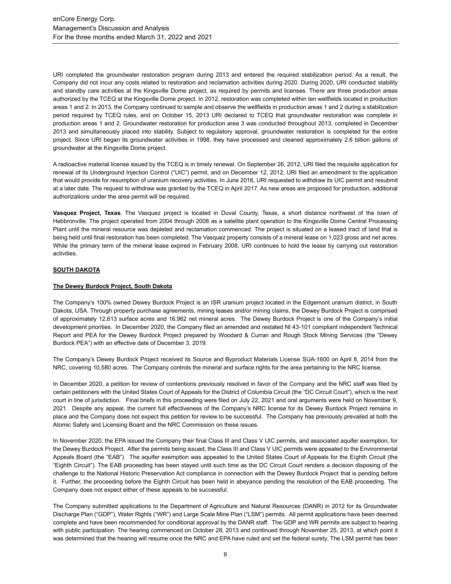URI completed the groundwater restoration program during 2013 and entered the required stabilization period. As a result, the Company did not incur any costs related to restoration and reclamation activities during 2020. During 2020, URI conducted stability and standby care activities at the Kingsville Dome project, as required by permits and licenses. There are three production areas authorized by the TCEQ at the Kingsville Dome project. In 2012, restoration was completed within ten wellfields located in production areas 1 and 2. In 2013, the Company continued to sample and observe the wellfields in production areas 1 and 2 during a stabilization period required by TCEQ rules, and on October 15, 2013 URI declared to TCEQ that groundwater restoration was complete in production areas 1 and 2. Groundwater restoration for production area 3 was conducted throughout 2013, completed in December 2013 and simultaneously placed into stability. Subject to regulatory approval, groundwater restoration is completed for the entire project. Since URI began its groundwater activities in 1998, they have processed and cleaned approximately 2.6 billion gallons of groundwater at the Kingsville Dome project.

A radioactive material license issued by the TCEQ is in timely renewal. On September 26, 2012, URI filed the requisite application for renewal of its Underground Injection Control ("UIC") permit, and on December 12, 2012, URI filed an amendment to the application that would provide for resumption of uranium recovery activities. In June 2016, URI requested to withdraw its UIC permit and resubmit at a later date. The request to withdraw was granted by the TCEQ in April 2017. As new areas are proposed for production, additional authorizations under the area permit will be required.

**Vasquez Project, Texas**. The Vasquez project is located in Duval County, Texas, a short distance northwest of the town of Hebbronville. The project operated from 2004 through 2008 as a satellite plant operation to the Kingsville Dome Central Processing Plant until the mineral resource was depleted and reclamation commenced. The project is situated on a leased tract of land that is being held until final restoration has been completed. The Vasquez property consists of a mineral lease on 1,023 gross and net acres. While the primary term of the mineral lease expired in February 2008, URI continues to hold the lease by carrying out restoration activities.

## **SOUTH DAKOTA**

## **The Dewey Burdock Project, South Dakota**

The Company's 100% owned Dewey Burdock Project is an ISR uranium project located in the Edgemont uranium district, in South Dakota, USA. Through property purchase agreements, mining leases and/or mining claims, the Dewey Burdock Project is comprised of approximately 12,613 surface acres and 16,962 net mineral acres. The Dewey Burdock Project is one of the Company's initial development priorities. In December 2020, the Company filed an amended and restated NI 43-101 compliant independent Technical Report and PEA for the Dewey Burdock Project prepared by Woodard & Curran and Rough Stock Mining Services (the "Dewey Burdock PEA") with an effective date of December 3, 2019.

The Company's Dewey Burdock Project received its Source and Byproduct Materials License SUA-1600 on April 8, 2014 from the NRC, covering 10,580 acres. The Company controls the mineral and surface rights for the area pertaining to the NRC license.

In December 2020, a petition for review of contentions previously resolved in favor of the Company and the NRC staff was filed by certain petitioners with the United States Court of Appeals for the District of Columbia Circuit (the "DC Circuit Court"), which is the next court in line of jurisdiction. Final briefs in this proceeding were filed on July 22, 2021 and oral arguments were held on November 9, 2021. Despite any appeal, the current full effectiveness of the Company's NRC license for its Dewey Burdock Project remains in place and the Company does not expect this petition for review to be successful. The Company has previously prevailed at both the Atomic Safety and Licensing Board and the NRC Commission on these issues.

In November 2020, the EPA issued the Company their final Class III and Class V UIC permits, and associated aquifer exemption, for the Dewey Burdock Project. After the permits being issued, the Class III and Class V UIC permits were appealed to the Environmental Appeals Board (the "EAB"). The aquifer exemption was appealed to the United States Court of Appeals for the Eighth Circuit (the "Eighth Circuit"). The EAB proceeding has been stayed until such time as the DC Circuit Court renders a decision disposing of the challenge to the National Historic Preservation Act compliance in connection with the Dewey Burdock Project that is pending before it. Further, the proceeding before the Eighth Circuit has been held in abeyance pending the resolution of the EAB proceeding. The Company does not expect either of these appeals to be successful.

The Company submitted applications to the Department of Agriculture and Natural Resources (DANR) in 2012 for its Groundwater Discharge Plan ("GDP"), Water Rights ("WR") and Large Scale Mine Plan ("LSM") permits. All permit applications have been deemed complete and have been recommended for conditional approval by the DANR staff. The GDP and WR permits are subject to hearing with public participation. The hearing commenced on October 28, 2013 and continued through November 25, 2013, at which point it was determined that the hearing will resume once the NRC and EPA have ruled and set the federal surety. The LSM permit has been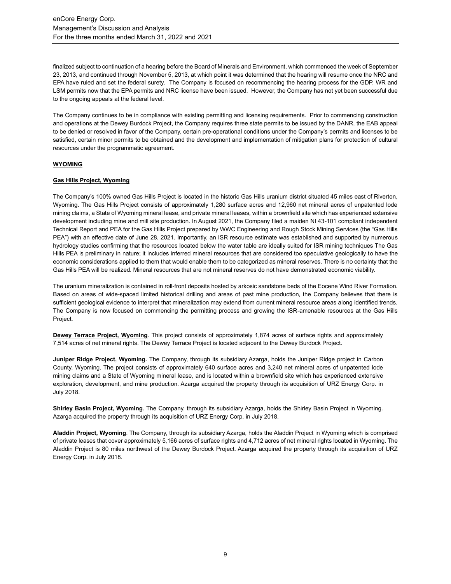finalized subject to continuation of a hearing before the Board of Minerals and Environment, which commenced the week of September 23, 2013, and continued through November 5, 2013, at which point it was determined that the hearing will resume once the NRC and EPA have ruled and set the federal surety. The Company is focused on recommencing the hearing process for the GDP, WR and LSM permits now that the EPA permits and NRC license have been issued. However, the Company has not yet been successful due to the ongoing appeals at the federal level.

The Company continues to be in compliance with existing permitting and licensing requirements. Prior to commencing construction and operations at the Dewey Burdock Project, the Company requires three state permits to be issued by the DANR, the EAB appeal to be denied or resolved in favor of the Company, certain pre-operational conditions under the Company's permits and licenses to be satisfied, certain minor permits to be obtained and the development and implementation of mitigation plans for protection of cultural resources under the programmatic agreement.

## **WYOMING**

## **Gas Hills Project, Wyoming**

The Company's 100% owned Gas Hills Project is located in the historic Gas Hills uranium district situated 45 miles east of Riverton, Wyoming. The Gas Hills Project consists of approximately 1,280 surface acres and 12,960 net mineral acres of unpatented lode mining claims, a State of Wyoming mineral lease, and private mineral leases, within a brownfield site which has experienced extensive development including mine and mill site production. In August 2021, the Company filed a maiden NI 43-101 compliant independent Technical Report and PEA for the Gas Hills Project prepared by WWC Engineering and Rough Stock Mining Services (the "Gas Hills PEA") with an effective date of June 28, 2021. Importantly, an ISR resource estimate was established and supported by numerous hydrology studies confirming that the resources located below the water table are ideally suited for ISR mining techniques The Gas Hills PEA is preliminary in nature; it includes inferred mineral resources that are considered too speculative geologically to have the economic considerations applied to them that would enable them to be categorized as mineral reserves. There is no certainty that the Gas Hills PEA will be realized. Mineral resources that are not mineral reserves do not have demonstrated economic viability.

The uranium mineralization is contained in roll-front deposits hosted by arkosic sandstone beds of the Eocene Wind River Formation. Based on areas of wide-spaced limited historical drilling and areas of past mine production, the Company believes that there is sufficient geological evidence to interpret that mineralization may extend from current mineral resource areas along identified trends. The Company is now focused on commencing the permitting process and growing the ISR-amenable resources at the Gas Hills Project.

**Dewey Terrace Project, Wyoming**. This project consists of approximately 1,874 acres of surface rights and approximately 7,514 acres of net mineral rights. The Dewey Terrace Project is located adjacent to the Dewey Burdock Project.

**Juniper Ridge Project, Wyoming.** The Company, through its subsidiary Azarga, holds the Juniper Ridge project in Carbon County, Wyoming. The project consists of approximately 640 surface acres and 3,240 net mineral acres of unpatented lode mining claims and a State of Wyoming mineral lease, and is located within a brownfield site which has experienced extensive exploration, development, and mine production. Azarga acquired the property through its acquisition of URZ Energy Corp. in July 2018.

**Shirley Basin Project, Wyoming**. The Company, through its subsidiary Azarga, holds the Shirley Basin Project in Wyoming. Azarga acquired the property through its acquisition of URZ Energy Corp. in July 2018.

**Aladdin Project, Wyoming**. The Company, through its subsidiary Azarga, holds the Aladdin Project in Wyoming which is comprised of private leases that cover approximately 5,166 acres of surface rights and 4,712 acres of net mineral rights located in Wyoming. The Aladdin Project is 80 miles northwest of the Dewey Burdock Project. Azarga acquired the property through its acquisition of URZ Energy Corp. in July 2018.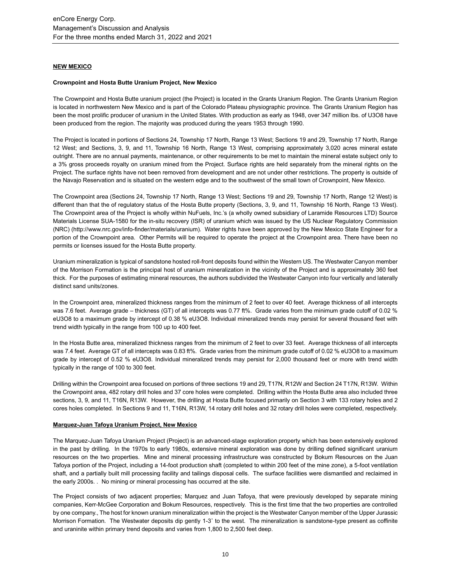## **NEW MEXICO**

## **Crownpoint and Hosta Butte Uranium Project, New Mexico**

The Crownpoint and Hosta Butte uranium project (the Project) is located in the Grants Uranium Region. The Grants Uranium Region is located in northwestern New Mexico and is part of the Colorado Plateau physiographic province. The Grants Uranium Region has been the most prolific producer of uranium in the United States. With production as early as 1948, over 347 million lbs. of U3O8 have been produced from the region. The majority was produced during the years 1953 through 1990.

The Project is located in portions of Sections 24, Township 17 North, Range 13 West; Sections 19 and 29, Township 17 North, Range 12 West; and Sections, 3, 9, and 11, Township 16 North, Range 13 West, comprising approximately 3,020 acres mineral estate outright. There are no annual payments, maintenance, or other requirements to be met to maintain the mineral estate subject only to a 3% gross proceeds royalty on uranium mined from the Project. Surface rights are held separately from the mineral rights on the Project. The surface rights have not been removed from development and are not under other restrictions. The property is outside of the Navajo Reservation and is situated on the western edge and to the southwest of the small town of Crownpoint, New Mexico.

The Crownpoint area (Sections 24, Township 17 North, Range 13 West; Sections 19 and 29, Township 17 North, Range 12 West) is different than that the of regulatory status of the Hosta Butte property (Sections, 3, 9, and 11, Township 16 North, Range 13 West). The Crownpoint area of the Project is wholly within NuFuels, Inc.'s (a wholly owned subsidiary of Laramide Resources LTD) Source Materials License SUA-1580 for the in-situ recovery (ISR) of uranium which was issued by the US Nuclear Regulatory Commission (NRC) (http://www.nrc.gov/info-finder/materials/uranium). Water rights have been approved by the New Mexico State Engineer for a portion of the Crownpoint area. Other Permits will be required to operate the project at the Crownpoint area. There have been no permits or licenses issued for the Hosta Butte property.

Uranium mineralization is typical of sandstone hosted roll-front deposits found within the Western US. The Westwater Canyon member of the Morrison Formation is the principal host of uranium mineralization in the vicinity of the Project and is approximately 360 feet thick. For the purposes of estimating mineral resources, the authors subdivided the Westwater Canyon into four vertically and laterally distinct sand units/zones.

In the Crownpoint area, mineralized thickness ranges from the minimum of 2 feet to over 40 feet. Average thickness of all intercepts was 7.6 feet. Average grade – thickness (GT) of all intercepts was 0.77 ft%. Grade varies from the minimum grade cutoff of 0.02 % eU3O8 to a maximum grade by intercept of 0.38 % eU3O8. Individual mineralized trends may persist for several thousand feet with trend width typically in the range from 100 up to 400 feet.

In the Hosta Butte area, mineralized thickness ranges from the minimum of 2 feet to over 33 feet. Average thickness of all intercepts was 7.4 feet. Average GT of all intercepts was 0.83 ft%. Grade varies from the minimum grade cutoff of 0.02 % eU3O8 to a maximum grade by intercept of 0.52 % eU3O8. Individual mineralized trends may persist for 2,000 thousand feet or more with trend width typically in the range of 100 to 300 feet.

Drilling within the Crownpoint area focused on portions of three sections 19 and 29, T17N, R12W and Section 24 T17N, R13W. Within the Crownpoint area, 482 rotary drill holes and 37 core holes were completed. Drilling within the Hosta Butte area also included three sections, 3, 9, and 11, T16N, R13W. However, the drilling at Hosta Butte focused primarily on Section 3 with 133 rotary holes and 2 cores holes completed. In Sections 9 and 11, T16N, R13W, 14 rotary drill holes and 32 rotary drill holes were completed, respectively.

## **Marquez-Juan Tafoya Uranium Project, New Mexico**

The Marquez-Juan Tafoya Uranium Project (Project) is an advanced-stage exploration property which has been extensively explored in the past by drilling. In the 1970s to early 1980s, extensive mineral exploration was done by drilling defined significant uranium resources on the two properties. Mine and mineral processing infrastructure was constructed by Bokum Resources on the Juan Tafoya portion of the Project, including a 14-foot production shaft (completed to within 200 feet of the mine zone), a 5-foot ventilation shaft, and a partially built mill processing facility and tailings disposal cells. The surface facilities were dismantled and reclaimed in the early 2000s. . No mining or mineral processing has occurred at the site.

The Project consists of two adjacent properties; Marquez and Juan Tafoya, that were previously developed by separate mining companies, Kerr-McGee Corporation and Bokum Resources, respectively. This is the first time that the two properties are controlled by one company., The host for known uranium mineralization within the project is the Westwater Canyon member of the Upper Jurassic Morrison Formation. The Westwater deposits dip gently 1-3˚ to the west. The mineralization is sandstone-type present as coffinite and uraninite within primary trend deposits and varies from 1,800 to 2,500 feet deep.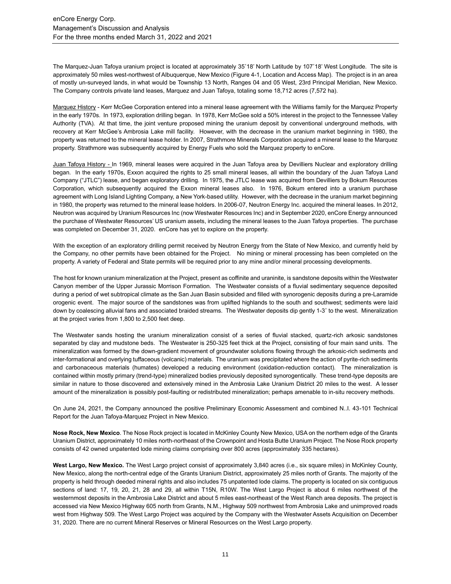The Marquez-Juan Tafoya uranium project is located at approximately 35˚18' North Latitude by 107˚18' West Longitude. The site is approximately 50 miles west-northwest of Albuquerque, New Mexico (Figure 4-1, Location and Access Map). The project is in an area of mostly un-surveyed lands, in what would be Township 13 North, Ranges 04 and 05 West, 23rd Principal Meridian, New Mexico. The Company controls private land leases, Marquez and Juan Tafoya, totaling some 18,712 acres (7,572 ha).

Marquez History - Kerr McGee Corporation entered into a mineral lease agreement with the Williams family for the Marquez Property in the early 1970s. In 1973, exploration drilling began. In 1978, Kerr McGee sold a 50% interest in the project to the Tennessee Valley Authority (TVA). At that time, the joint venture proposed mining the uranium deposit by conventional underground methods, with recovery at Kerr McGee's Ambrosia Lake mill facility. However, with the decrease in the uranium market beginning in 1980, the property was returned to the mineral lease holder. In 2007, Strathmore Minerals Corporation acquired a mineral lease to the Marquez property. Strathmore was subsequently acquired by Energy Fuels who sold the Marquez property to enCore.

Juan Tafoya History - In 1969, mineral leases were acquired in the Juan Tafoya area by Devilliers Nuclear and exploratory drilling began. In the early 1970s, Exxon acquired the rights to 25 small mineral leases, all within the boundary of the Juan Tafoya Land Company ("JTLC") lease, and began exploratory drilling. In 1975, the JTLC lease was acquired from Devilliers by Bokum Resources Corporation, which subsequently acquired the Exxon mineral leases also. In 1976, Bokum entered into a uranium purchase agreement with Long Island Lighting Company, a New York-based utility. However, with the decrease in the uranium market beginning in 1980, the property was returned to the mineral lease holders. In 2006-07, Neutron Energy Inc. acquired the mineral leases. In 2012, Neutron was acquired by Uranium Resources Inc (now Westwater Resources Inc) and in September 2020, enCore Energy announced the purchase of Westwater Resources' US uranium assets, including the mineral leases to the Juan Tafoya properties. The purchase was completed on December 31, 2020. enCore has yet to explore on the property.

With the exception of an exploratory drilling permit received by Neutron Energy from the State of New Mexico, and currently held by the Company, no other permits have been obtained for the Project. No mining or mineral processing has been completed on the property. A variety of Federal and State permits will be required prior to any mine and/or mineral processing developments.

The host for known uranium mineralization at the Project, present as coffinite and uraninite, is sandstone deposits within the Westwater Canyon member of the Upper Jurassic Morrison Formation. The Westwater consists of a fluvial sedimentary sequence deposited during a period of wet subtropical climate as the San Juan Basin subsided and filled with synorogenic deposits during a pre-Laramide orogenic event. The major source of the sandstones was from uplifted highlands to the south and southwest; sediments were laid down by coalescing alluvial fans and associated braided streams. The Westwater deposits dip gently 1-3˚ to the west. Mineralization at the project varies from 1,800 to 2,500 feet deep.

The Westwater sands hosting the uranium mineralization consist of a series of fluvial stacked, quartz-rich arkosic sandstones separated by clay and mudstone beds. The Westwater is 250-325 feet thick at the Project, consisting of four main sand units. The mineralization was formed by the down-gradient movement of groundwater solutions flowing through the arkosic-rich sediments and inter-formational and overlying tuffaceous (volcanic) materials. The uranium was precipitated where the action of pyrite-rich sediments and carbonaceous materials (humates) developed a reducing environment (oxidation-reduction contact). The mineralization is contained within mostly primary (trend-type) mineralized bodies previously deposited synorogentically. These trend-type deposits are similar in nature to those discovered and extensively mined in the Ambrosia Lake Uranium District 20 miles to the west. A lesser amount of the mineralization is possibly post-faulting or redistributed mineralization; perhaps amenable to in-situ recovery methods.

On June 24, 2021, the Company announced the positive Preliminary Economic Assessment and combined N..I. 43-101 Technical Report for the Juan Tafoya-Marquez Project in New Mexico.

**Nose Rock, New Mexico**. The Nose Rock project is located in McKinley County New Mexico, USA on the northern edge of the Grants Uranium District, approximately 10 miles north-northeast of the Crownpoint and Hosta Butte Uranium Project. The Nose Rock property consists of 42 owned unpatented lode mining claims comprising over 800 acres (approximately 335 hectares).

**West Largo, New Mexico.** The West Largo project consist of approximately 3,840 acres (i.e., six square miles) in McKinley County, New Mexico, along the north-central edge of the Grants Uranium District, approximately 25 miles north of Grants. The majority of the property is held through deeded mineral rights and also includes 75 unpatented lode claims. The property is located on six contiguous sections of land: 17, 19, 20, 21, 28 and 29, all within T15N, R10W. The West Largo Project is about 6 miles northwest of the westernmost deposits in the Ambrosia Lake District and about 5 miles east-northeast of the West Ranch area deposits. The project is accessed via New Mexico Highway 605 north from Grants, N.M., Highway 509 northwest from Ambrosia Lake and unimproved roads west from Highway 509. The West Largo Project was acquired by the Company with the Westwater Assets Acquisition on December 31, 2020. There are no current Mineral Reserves or Mineral Resources on the West Largo property.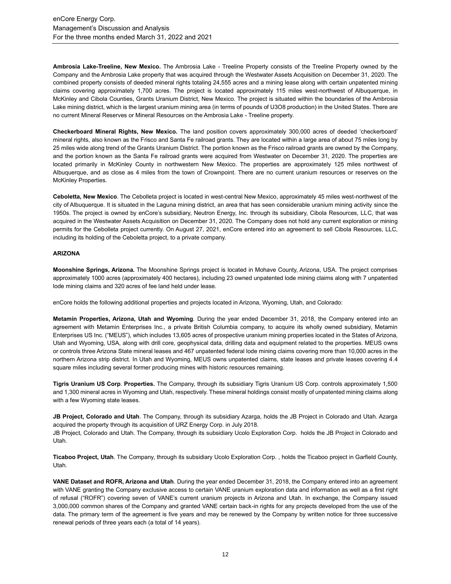**Ambrosia Lake-Treeline, New Mexico.** The Ambrosia Lake - Treeline Property consists of the Treeline Property owned by the Company and the Ambrosia Lake property that was acquired through the Westwater Assets Acquisition on December 31, 2020. The combined property consists of deeded mineral rights totaling 24,555 acres and a mining lease along with certain unpatented mining claims covering approximately 1,700 acres. The project is located approximately 115 miles west-northwest of Albuquerque, in McKinley and Cibola Counties, Grants Uranium District, New Mexico. The project is situated within the boundaries of the Ambrosia Lake mining district, which is the largest uranium mining area (in terms of pounds of U3O8 production) in the United States. There are no current Mineral Reserves or Mineral Resources on the Ambrosia Lake - Treeline property.

**Checkerboard Mineral Rights, New Mexico.** The land position covers approximately 300,000 acres of deeded 'checkerboard' mineral rights, also known as the Frisco and Santa Fe railroad grants. They are located within a large area of about 75 miles long by 25 miles wide along trend of the Grants Uranium District. The portion known as the Frisco railroad grants are owned by the Company, and the portion known as the Santa Fe railroad grants were acquired from Westwater on December 31, 2020. The properties are located primarily in McKinley County in northwestern New Mexico. The properties are approximately 125 miles northwest of Albuquerque, and as close as 4 miles from the town of Crownpoint. There are no current uranium resources or reserves on the McKinley Properties.

**Ceboletta, New Mexico**. The Cebolleta project is located in west-central New Mexico, approximately 45 miles west-northwest of the city of Albuquerque. It is situated in the Laguna mining district, an area that has seen considerable uranium mining activity since the 1950s. The project is owned by enCore's subsidiary, Neutron Energy, Inc. through its subsidiary, Cibola Resources, LLC, that was acquired in the Westwater Assets Acquisition on December 31, 2020. The Company does not hold any current exploration or mining permits for the Cebolleta project currently. On August 27, 2021, enCore entered into an agreement to sell Cibola Resources, LLC, including its holding of the Ceboletta project, to a private company.

## **ARIZONA**

**Moonshine Springs, Arizona.** The Moonshine Springs project is located in Mohave County, Arizona, USA. The project comprises approximately 1000 acres (approximately 400 hectares), including 23 owned unpatented lode mining claims along with 7 unpatented lode mining claims and 320 acres of fee land held under lease.

enCore holds the following additional properties and projects located in Arizona, Wyoming, Utah, and Colorado:

**Metamin Properties, Arizona, Utah and Wyoming**. During the year ended December 31, 2018, the Company entered into an agreement with Metamin Enterprises Inc., a private British Columbia company, to acquire its wholly owned subsidiary, Metamin Enterprises US Inc. ("MEUS"), which includes 13,605 acres of prospective uranium mining properties located in the States of Arizona, Utah and Wyoming, USA, along with drill core, geophysical data, drilling data and equipment related to the properties. MEUS owns or controls three Arizona State mineral leases and 467 unpatented federal lode mining claims covering more than 10,000 acres in the northern Arizona strip district. In Utah and Wyoming, MEUS owns unpatented claims, state leases and private leases covering 4.4 square miles including several former producing mines with historic resources remaining.

**Tigris Uranium US Corp**. **Properties.** The Company, through its subsidiary Tigris Uranium US Corp. controls approximately 1,500 and 1,300 mineral acres in Wyoming and Utah, respectively. These mineral holdings consist mostly of unpatented mining claims along with a few Wyoming state leases.

**JB Project, Colorado and Utah**. The Company, through its subsidiary Azarga, holds the JB Project in Colorado and Utah. Azarga acquired the property through its acquisition of URZ Energy Corp. in July 2018. JB Project, Colorado and Utah. The Company, through its subsidiary Ucolo Exploration Corp. holds the JB Project in Colorado and Utah.

**Ticaboo Project, Utah**. The Company, through its subsidiary Ucolo Exploration Corp. , holds the Ticaboo project in Garfield County, Utah.

**VANE Dataset and ROFR, Arizona and Utah**. During the year ended December 31, 2018, the Company entered into an agreement with VANE granting the Company exclusive access to certain VANE uranium exploration data and information as well as a first right of refusal ("ROFR") covering seven of VANE's current uranium projects in Arizona and Utah. In exchange, the Company issued 3,000,000 common shares of the Company and granted VANE certain back-in rights for any projects developed from the use of the data. The primary term of the agreement is five years and may be renewed by the Company by written notice for three successive renewal periods of three years each (a total of 14 years).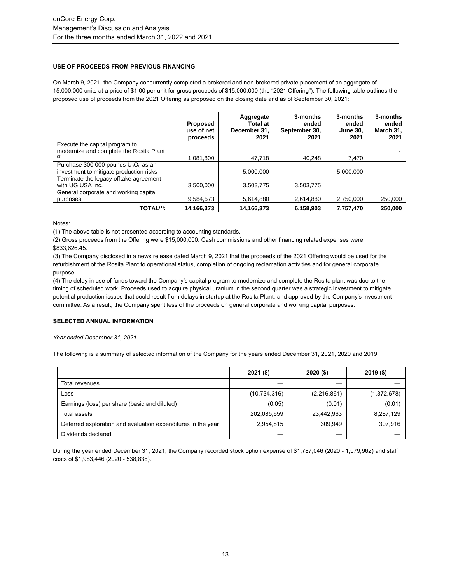## **USE OF PROCEEDS FROM PREVIOUS FINANCING**

On March 9, 2021, the Company concurrently completed a brokered and non-brokered private placement of an aggregate of 15,000,000 units at a price of \$1.00 per unit for gross proceeds of \$15,000,000 (the "2021 Offering"). The following table outlines the proposed use of proceeds from the 2021 Offering as proposed on the closing date and as of September 30, 2021:

|                                                                                   | <b>Proposed</b><br>use of net<br>proceeds | Aggregate<br>Total at<br>December 31,<br>2021 | 3-months<br>ended<br>September 30,<br>2021 | 3-months<br>ended<br><b>June 30.</b><br>2021 | 3-months<br>ended<br>March 31,<br>2021 |
|-----------------------------------------------------------------------------------|-------------------------------------------|-----------------------------------------------|--------------------------------------------|----------------------------------------------|----------------------------------------|
| Execute the capital program to<br>modernize and complete the Rosita Plant         |                                           |                                               |                                            |                                              |                                        |
| (3)                                                                               | 1.081.800                                 | 47.718                                        | 40.248                                     | 7.470                                        |                                        |
| Purchase 300,000 pounds $U_3O_8$ as an<br>investment to mitigate production risks |                                           | 5.000.000                                     |                                            | 5.000.000                                    |                                        |
| Terminate the legacy offtake agreement<br>with UG USA Inc.                        | 3.500.000                                 | 3.503.775                                     | 3.503.775                                  |                                              |                                        |
| General corporate and working capital                                             |                                           |                                               |                                            |                                              |                                        |
| purposes                                                                          | 9.584.573                                 | 5,614,880                                     | 2.614.880                                  | 2.750.000                                    | 250,000                                |
| TOTAL <sup>(1)</sup> :                                                            | 14.166.373                                | 14,166,373                                    | 6.158.903                                  | 7.757.470                                    | 250,000                                |

Notes:

(1) The above table is not presented according to accounting standards.

(2) Gross proceeds from the Offering were \$15,000,000. Cash commissions and other financing related expenses were \$833,626.45.

(3) The Company disclosed in a news release dated March 9, 2021 that the proceeds of the 2021 Offering would be used for the refurbishment of the Rosita Plant to operational status, completion of ongoing reclamation activities and for general corporate purpose.

(4) The delay in use of funds toward the Company's capital program to modernize and complete the Rosita plant was due to the timing of scheduled work. Proceeds used to acquire physical uranium in the second quarter was a strategic investment to mitigate potential production issues that could result from delays in startup at the Rosita Plant, and approved by the Company's investment committee. As a result, the Company spent less of the proceeds on general corporate and working capital purposes.

## **SELECTED ANNUAL INFORMATION**

*Year ended December 31, 2021*

The following is a summary of selected information of the Company for the years ended December 31, 2021, 2020 and 2019:

|                                                              | $2021($ \$)    | $2020($ \$)   | $2019($ \$) |
|--------------------------------------------------------------|----------------|---------------|-------------|
| Total revenues                                               |                |               |             |
| Loss                                                         | (10, 734, 316) | (2, 216, 861) | (1,372,678) |
| Earnings (loss) per share (basic and diluted)                | (0.05)         | (0.01)        | (0.01)      |
| Total assets                                                 | 202,085,659    | 23,442,963    | 8,287,129   |
| Deferred exploration and evaluation expenditures in the year | 2,954,815      | 309.949       | 307,916     |
| Dividends declared                                           |                |               |             |

During the year ended December 31, 2021, the Company recorded stock option expense of \$1,787,046 (2020 - 1,079,962) and staff costs of \$1,983,446 (2020 - 538,838).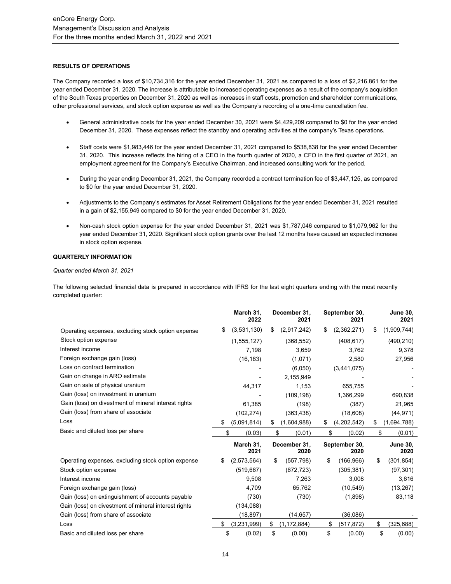## **RESULTS OF OPERATIONS**

The Company recorded a loss of \$10,734,316 for the year ended December 31, 2021 as compared to a loss of \$2,216,861 for the year ended December 31, 2020. The increase is attributable to increased operating expenses as a result of the company's acquisition of the South Texas properties on December 31, 2020 as well as increases in staff costs, promotion and shareholder communications, other professional services, and stock option expense as well as the Company's recording of a one-time cancellation fee.

- General administrative costs for the year ended December 30, 2021 were \$4,429,209 compared to \$0 for the year ended December 31, 2020. These expenses reflect the standby and operating activities at the company's Texas operations.
- Staff costs were \$1,983,446 for the year ended December 31, 2021 compared to \$538,838 for the year ended December 31, 2020. This increase reflects the hiring of a CEO in the fourth quarter of 2020, a CFO in the first quarter of 2021, an employment agreement for the Company's Executive Chairman, and increased consulting work for the period.
- During the year ending December 31, 2021, the Company recorded a contract termination fee of \$3,447,125, as compared to \$0 for the year ended December 31, 2020.
- Adjustments to the Company's estimates for Asset Retirement Obligations for the year ended December 31, 2021 resulted in a gain of \$2,155,949 compared to \$0 for the year ended December 31, 2020.
- Non-cash stock option expense for the year ended December 31, 2021 was \$1,787,046 compared to \$1,079,962 for the year ended December 31, 2020. Significant stock option grants over the last 12 months have caused an expected increase in stock option expense.

#### **QUARTERLY INFORMATION**

#### *Quarter ended March 31, 2021*

The following selected financial data is prepared in accordance with IFRS for the last eight quarters ending with the most recently completed quarter:

|                                                      | March 31,<br>2022 | December 31,<br>2021 | September 30,<br>2021 | <b>June 30,</b><br>2021 |
|------------------------------------------------------|-------------------|----------------------|-----------------------|-------------------------|
| Operating expenses, excluding stock option expense   | \$<br>(3,531,130) | \$<br>(2,917,242)    | \$<br>(2,362,271)     | \$<br>(1,909,744)       |
| Stock option expense                                 | (1, 555, 127)     | (368, 552)           | (408, 617)            | (490, 210)              |
| Interest income                                      | 7,198             | 3,659                | 3,762                 | 9,378                   |
| Foreign exchange gain (loss)                         | (16, 183)         | (1,071)              | 2,580                 | 27,956                  |
| Loss on contract termination                         |                   | (6,050)              | (3,441,075)           |                         |
| Gain on change in ARO estimate                       |                   | 2,155,949            |                       |                         |
| Gain on sale of physical uranium                     | 44,317            | 1,153                | 655,755               |                         |
| Gain (loss) on investment in uranium                 |                   | (109, 198)           | 1,366,299             | 690,838                 |
| Gain (loss) on divestment of mineral interest rights | 61,385            | (198)                | (387)                 | 21,965                  |
| Gain (loss) from share of associate                  | (102, 274)        | (363,438)            | (18,608)              | (44, 971)               |
| Loss                                                 | \$<br>(5,091,814) | \$<br>(1,604,988)    | \$<br>(4,202,542)     | \$<br>(1,694,788)       |
| Basic and diluted loss per share                     | \$<br>(0.03)      | \$<br>(0.01)         | \$<br>(0.02)          | \$<br>(0.01)            |
|                                                      | March 31,<br>2021 | December 31,<br>2020 | September 30,<br>2020 | <b>June 30,</b><br>2020 |
| Operating expenses, excluding stock option expense   | \$<br>(2,573,564) | \$<br>(557, 798)     | \$<br>(166, 966)      | \$<br>(301, 854)        |
| Stock option expense                                 | (519, 667)        | (672, 723)           | (305, 381)            | (97, 301)               |
| Interest income                                      | 9,508             | 7,263                | 3,008                 | 3,616                   |
| Foreign exchange gain (loss)                         | 4,709             | 65,762               | (10, 549)             | (13, 267)               |
| Gain (loss) on extinguishment of accounts payable    | (730)             | (730)                | (1,898)               | 83,118                  |
| Gain (loss) on divestment of mineral interest rights | (134, 088)        |                      |                       |                         |
| Gain (loss) from share of associate                  | (18, 897)         | (14, 657)            | (36,086)              |                         |
| Loss                                                 | \$<br>(3,231,999) | \$<br>(1, 172, 884)  | \$<br>(517, 872)      | \$<br>(325, 688)        |
| Basic and diluted loss per share                     | \$<br>(0.02)      | \$<br>(0.00)         | \$<br>(0.00)          | \$<br>(0.00)            |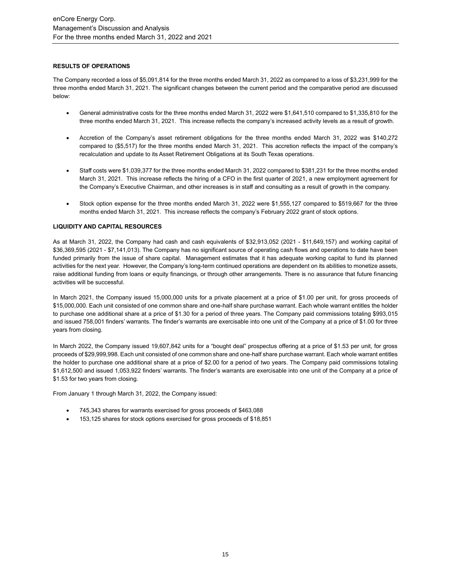## **RESULTS OF OPERATIONS**

The Company recorded a loss of \$5,091,814 for the three months ended March 31, 2022 as compared to a loss of \$3,231,999 for the three months ended March 31, 2021. The significant changes between the current period and the comparative period are discussed below:

- General administrative costs for the three months ended March 31, 2022 were \$1,641,510 compared to \$1,335,810 for the three months ended March 31, 2021. This increase reflects the company's increased activity levels as a result of growth.
- Accretion of the Company's asset retirement obligations for the three months ended March 31, 2022 was \$140,272 compared to (\$5,517) for the three months ended March 31, 2021. This accretion reflects the impact of the company's recalculation and update to its Asset Retirement Obligations at its South Texas operations.
- Staff costs were \$1,039,377 for the three months ended March 31, 2022 compared to \$381,231 for the three months ended March 31, 2021. This increase reflects the hiring of a CFO in the first quarter of 2021, a new employment agreement for the Company's Executive Chairman, and other increases is in staff and consulting as a result of growth in the company.
- Stock option expense for the three months ended March 31, 2022 were \$1,555,127 compared to \$519,667 for the three months ended March 31, 2021. This increase reflects the company's February 2022 grant of stock options.

## **LIQUIDITY AND CAPITAL RESOURCES**

As at March 31, 2022, the Company had cash and cash equivalents of \$32,913,052 (2021 - \$11,649,157) and working capital of \$36,369,595 (2021 - \$7,141,013). The Company has no significant source of operating cash flows and operations to date have been funded primarily from the issue of share capital. Management estimates that it has adequate working capital to fund its planned activities for the next year. However, the Company's long-term continued operations are dependent on its abilities to monetize assets, raise additional funding from loans or equity financings, or through other arrangements. There is no assurance that future financing activities will be successful.

In March 2021, the Company issued 15,000,000 units for a private placement at a price of \$1.00 per unit, for gross proceeds of \$15,000,000. Each unit consisted of one common share and one-half share purchase warrant. Each whole warrant entitles the holder to purchase one additional share at a price of \$1.30 for a period of three years. The Company paid commissions totaling \$993,015 and issued 758,001 finders' warrants. The finder's warrants are exercisable into one unit of the Company at a price of \$1.00 for three years from closing.

In March 2022, the Company issued 19,607,842 units for a "bought deal" prospectus offering at a price of \$1.53 per unit, for gross proceeds of \$29,999,998. Each unit consisted of one common share and one-half share purchase warrant. Each whole warrant entitles the holder to purchase one additional share at a price of \$2.00 for a period of two years. The Company paid commissions totaling \$1,612,500 and issued 1,053,922 finders' warrants. The finder's warrants are exercisable into one unit of the Company at a price of \$1.53 for two years from closing.

From January 1 through March 31, 2022, the Company issued:

- 745,343 shares for warrants exercised for gross proceeds of \$463,088
- 153,125 shares for stock options exercised for gross proceeds of \$18,851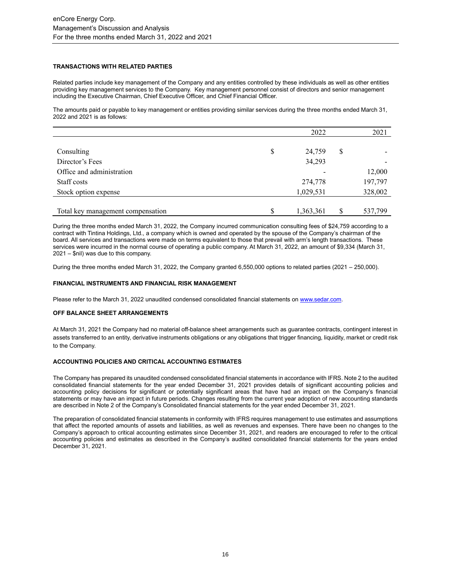## **TRANSACTIONS WITH RELATED PARTIES**

Related parties include key management of the Company and any entities controlled by these individuals as well as other entities providing key management services to the Company. Key management personnel consist of directors and senior management including the Executive Chairman, Chief Executive Officer, and Chief Financial Officer.

The amounts paid or payable to key management or entities providing similar services during the three months ended March 31, 2022 and 2021 is as follows:

|                                   | 2022            | 2021          |
|-----------------------------------|-----------------|---------------|
|                                   |                 |               |
| Consulting                        | \$<br>24,759    | \$            |
| Director's Fees                   | 34,293          |               |
| Office and administration         |                 | 12,000        |
| Staff costs                       | 274,778         | 197,797       |
| Stock option expense              | 1,029,531       | 328,002       |
|                                   |                 |               |
| Total key management compensation | \$<br>1,363,361 | \$<br>537,799 |

During the three months ended March 31, 2022, the Company incurred communication consulting fees of \$24,759 according to a contract with Tintina Holdings, Ltd., a company which is owned and operated by the spouse of the Company's chairman of the board. All services and transactions were made on terms equivalent to those that prevail with arm's length transactions. These services were incurred in the normal course of operating a public company. At March 31, 2022, an amount of \$9,334 (March 31, 2021 – \$nil) was due to this company.

During the three months ended March 31, 2022, the Company granted 6,550,000 options to related parties (2021 – 250,000).

## **FINANCIAL INSTRUMENTS AND FINANCIAL RISK MANAGEMENT**

Please refer to the March 31, 2022 unaudited condensed consolidated financial statements o[n www.sedar.com.](about:blank)

#### **OFF BALANCE SHEET ARRANGEMENTS**

At March 31, 2021 the Company had no material off-balance sheet arrangements such as guarantee contracts, contingent interest in assets transferred to an entity, derivative instruments obligations or any obligations that trigger financing, liquidity, market or credit risk to the Company.

#### **ACCOUNTING POLICIES AND CRITICAL ACCOUNTING ESTIMATES**

The Company has prepared its unaudited condensed consolidated financial statements in accordance with IFRS. Note 2 to the audited consolidated financial statements for the year ended December 31, 2021 provides details of significant accounting policies and accounting policy decisions for significant or potentially significant areas that have had an impact on the Company's financial statements or may have an impact in future periods. Changes resulting from the current year adoption of new accounting standards are described in Note 2 of the Company's Consolidated financial statements for the year ended December 31, 2021.

The preparation of consolidated financial statements in conformity with IFRS requires management to use estimates and assumptions that affect the reported amounts of assets and liabilities, as well as revenues and expenses. There have been no changes to the Company's approach to critical accounting estimates since December 31, 2021, and readers are encouraged to refer to the critical accounting policies and estimates as described in the Company's audited consolidated financial statements for the years ended December 31, 2021.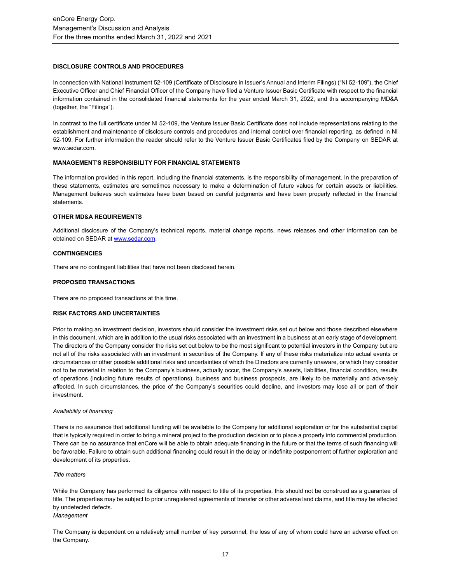## **DISCLOSURE CONTROLS AND PROCEDURES**

In connection with National Instrument 52-109 (Certificate of Disclosure in Issuer's Annual and Interim Filings) ("NI 52-109"), the Chief Executive Officer and Chief Financial Officer of the Company have filed a Venture Issuer Basic Certificate with respect to the financial information contained in the consolidated financial statements for the year ended March 31, 2022, and this accompanying MD&A (together, the "Filings").

In contrast to the full certificate under NI 52-109, the Venture Issuer Basic Certificate does not include representations relating to the establishment and maintenance of disclosure controls and procedures and internal control over financial reporting, as defined in NI 52-109. For further information the reader should refer to the Venture Issuer Basic Certificates filed by the Company on SEDAR at [www.sedar.com.](about:blank)

# **MANAGEMENT'S RESPONSIBILITY FOR FINANCIAL STATEMENTS**

The information provided in this report, including the financial statements, is the responsibility of management. In the preparation of these statements, estimates are sometimes necessary to make a determination of future values for certain assets or liabilities. Management believes such estimates have been based on careful judgments and have been properly reflected in the financial statements.

#### **OTHER MD&A REQUIREMENTS**

Additional disclosure of the Company's technical reports, material change reports, news releases and other information can be obtained on SEDAR a[t www.sedar.com.](about:blank)

### **CONTINGENCIES**

There are no contingent liabilities that have not been disclosed herein.

#### **PROPOSED TRANSACTIONS**

There are no proposed transactions at this time.

## **RISK FACTORS AND UNCERTAINTIES**

Prior to making an investment decision, investors should consider the investment risks set out below and those described elsewhere in this document, which are in addition to the usual risks associated with an investment in a business at an early stage of development. The directors of the Company consider the risks set out below to be the most significant to potential investors in the Company but are not all of the risks associated with an investment in securities of the Company. If any of these risks materialize into actual events or circumstances or other possible additional risks and uncertainties of which the Directors are currently unaware, or which they consider not to be material in relation to the Company's business, actually occur, the Company's assets, liabilities, financial condition, results of operations (including future results of operations), business and business prospects, are likely to be materially and adversely affected. In such circumstances, the price of the Company's securities could decline, and investors may lose all or part of their investment.

#### *Availability of financing*

There is no assurance that additional funding will be available to the Company for additional exploration or for the substantial capital that is typically required in order to bring a mineral project to the production decision or to place a property into commercial production. There can be no assurance that enCore will be able to obtain adequate financing in the future or that the terms of such financing will be favorable. Failure to obtain such additional financing could result in the delay or indefinite postponement of further exploration and development of its properties.

#### *Title matters*

While the Company has performed its diligence with respect to title of its properties, this should not be construed as a guarantee of title. The properties may be subject to prior unregistered agreements of transfer or other adverse land claims, and title may be affected by undetected defects.

## *Management*

The Company is dependent on a relatively small number of key personnel, the loss of any of whom could have an adverse effect on the Company.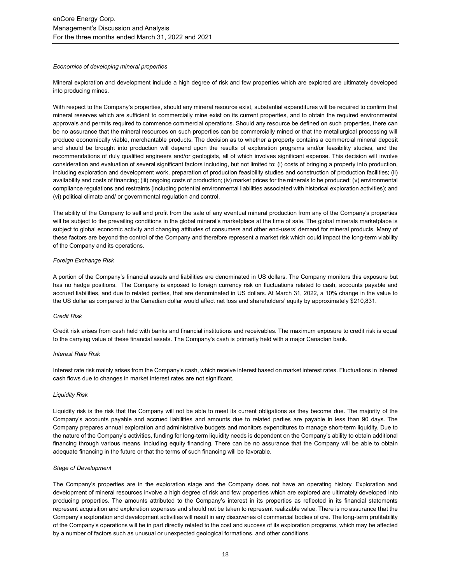#### *Economics of developing mineral properties*

Mineral exploration and development include a high degree of risk and few properties which are explored are ultimately developed into producing mines.

With respect to the Company's properties, should any mineral resource exist, substantial expenditures will be required to confirm that mineral reserves which are sufficient to commercially mine exist on its current properties, and to obtain the required environmental approvals and permits required to commence commercial operations. Should any resource be defined on such properties, there can be no assurance that the mineral resources on such properties can be commercially mined or that the metallurgical processing will produce economically viable, merchantable products. The decision as to whether a property contains a commercial mineral deposit and should be brought into production will depend upon the results of exploration programs and/or feasibility studies, and the recommendations of duly qualified engineers and/or geologists, all of which involves significant expense. This decision will involve consideration and evaluation of several significant factors including, but not limited to: (i) costs of bringing a property into production, including exploration and development work, preparation of production feasibility studies and construction of production facilities; (ii) availability and costs of financing; (iii) ongoing costs of production; (iv) market prices for the minerals to be produced; (v) environmental compliance regulations and restraints (including potential environmental liabilities associated with historical exploration activities); and (vi) political climate and/ or governmental regulation and control.

The ability of the Company to sell and profit from the sale of any eventual mineral production from any of the Company's properties will be subject to the prevailing conditions in the global mineral's marketplace at the time of sale. The global minerals marketplace is subject to global economic activity and changing attitudes of consumers and other end-users' demand for mineral products. Many of these factors are beyond the control of the Company and therefore represent a market risk which could impact the long-term viability of the Company and its operations.

#### *Foreign Exchange Risk*

A portion of the Company's financial assets and liabilities are denominated in US dollars. The Company monitors this exposure but has no hedge positions. The Company is exposed to foreign currency risk on fluctuations related to cash, accounts payable and accrued liabilities, and due to related parties, that are denominated in US dollars. At March 31, 2022, a 10% change in the value to the US dollar as compared to the Canadian dollar would affect net loss and shareholders' equity by approximately \$210,831.

#### *Credit Risk*

Credit risk arises from cash held with banks and financial institutions and receivables. The maximum exposure to credit risk is equal to the carrying value of these financial assets. The Company's cash is primarily held with a major Canadian bank.

#### *Interest Rate Risk*

Interest rate risk mainly arises from the Company's cash, which receive interest based on market interest rates. Fluctuations in interest cash flows due to changes in market interest rates are not significant.

#### *Liquidity Risk*

Liquidity risk is the risk that the Company will not be able to meet its current obligations as they become due. The majority of the Company's accounts payable and accrued liabilities and amounts due to related parties are payable in less than 90 days. The Company prepares annual exploration and administrative budgets and monitors expenditures to manage short-term liquidity. Due to the nature of the Company's activities, funding for long-term liquidity needs is dependent on the Company's ability to obtain additional financing through various means, including equity financing. There can be no assurance that the Company will be able to obtain adequate financing in the future or that the terms of such financing will be favorable.

#### *Stage of Development*

The Company's properties are in the exploration stage and the Company does not have an operating history. Exploration and development of mineral resources involve a high degree of risk and few properties which are explored are ultimately developed into producing properties. The amounts attributed to the Company's interest in its properties as reflected in its financial statements represent acquisition and exploration expenses and should not be taken to represent realizable value. There is no assurance that the Company's exploration and development activities will result in any discoveries of commercial bodies of ore. The long-term profitability of the Company's operations will be in part directly related to the cost and success of its exploration programs, which may be affected by a number of factors such as unusual or unexpected geological formations, and other conditions.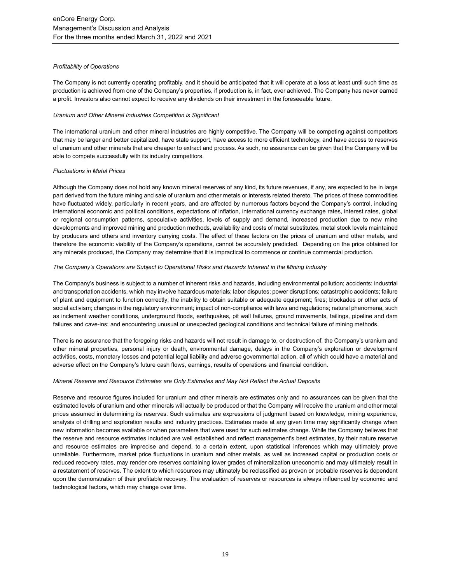## *Profitability of Operations*

The Company is not currently operating profitably, and it should be anticipated that it will operate at a loss at least until such time as production is achieved from one of the Company's properties, if production is, in fact, ever achieved. The Company has never earned a profit. Investors also cannot expect to receive any dividends on their investment in the foreseeable future.

## *Uranium and Other Mineral Industries Competition is Significant*

The international uranium and other mineral industries are highly competitive. The Company will be competing against competitors that may be larger and better capitalized, have state support, have access to more efficient technology, and have access to reserves of uranium and other minerals that are cheaper to extract and process. As such, no assurance can be given that the Company will be able to compete successfully with its industry competitors.

## *Fluctuations in Metal Prices*

Although the Company does not hold any known mineral reserves of any kind, its future revenues, if any, are expected to be in large part derived from the future mining and sale of uranium and other metals or interests related thereto. The prices of these commodities have fluctuated widely, particularly in recent years, and are affected by numerous factors beyond the Company's control, including international economic and political conditions, expectations of inflation, international currency exchange rates, interest rates, global or regional consumption patterns, speculative activities, levels of supply and demand, increased production due to new mine developments and improved mining and production methods, availability and costs of metal substitutes, metal stock levels maintained by producers and others and inventory carrying costs. The effect of these factors on the prices of uranium and other metals, and therefore the economic viability of the Company's operations, cannot be accurately predicted. Depending on the price obtained for any minerals produced, the Company may determine that it is impractical to commence or continue commercial production.

## *The Company's Operations are Subject to Operational Risks and Hazards Inherent in the Mining Industry*

The Company's business is subject to a number of inherent risks and hazards, including environmental pollution; accidents; industrial and transportation accidents, which may involve hazardous materials; labor disputes; power disruptions; catastrophic accidents; failure of plant and equipment to function correctly; the inability to obtain suitable or adequate equipment; fires; blockades or other acts of social activism; changes in the regulatory environment; impact of non-compliance with laws and regulations; natural phenomena, such as inclement weather conditions, underground floods, earthquakes, pit wall failures, ground movements, tailings, pipeline and dam failures and cave-ins; and encountering unusual or unexpected geological conditions and technical failure of mining methods.

There is no assurance that the foregoing risks and hazards will not result in damage to, or destruction of, the Company's uranium and other mineral properties, personal injury or death, environmental damage, delays in the Company's exploration or development activities, costs, monetary losses and potential legal liability and adverse governmental action, all of which could have a material and adverse effect on the Company's future cash flows, earnings, results of operations and financial condition.

#### *Mineral Reserve and Resource Estimates are Only Estimates and May Not Reflect the Actual Deposits*

Reserve and resource figures included for uranium and other minerals are estimates only and no assurances can be given that the estimated levels of uranium and other minerals will actually be produced or that the Company will receive the uranium and other metal prices assumed in determining its reserves. Such estimates are expressions of judgment based on knowledge, mining experience, analysis of drilling and exploration results and industry practices. Estimates made at any given time may significantly change when new information becomes available or when parameters that were used for such estimates change. While the Company believes that the reserve and resource estimates included are well established and reflect management's best estimates, by their nature reserve and resource estimates are imprecise and depend, to a certain extent, upon statistical inferences which may ultimately prove unreliable. Furthermore, market price fluctuations in uranium and other metals, as well as increased capital or production costs or reduced recovery rates, may render ore reserves containing lower grades of mineralization uneconomic and may ultimately result in a restatement of reserves. The extent to which resources may ultimately be reclassified as proven or probable reserves is dependent upon the demonstration of their profitable recovery. The evaluation of reserves or resources is always influenced by economic and technological factors, which may change over time.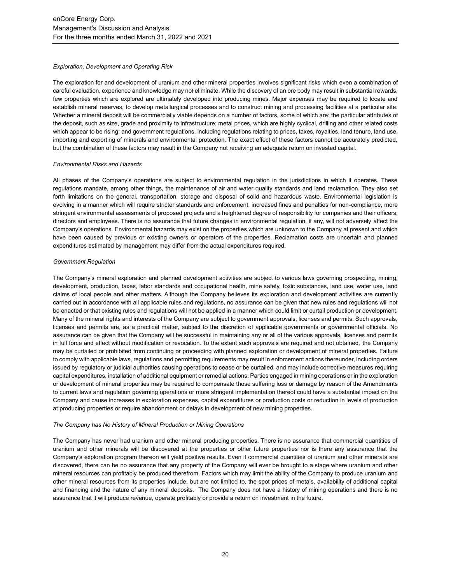### *Exploration, Development and Operating Risk*

The exploration for and development of uranium and other mineral properties involves significant risks which even a combination of careful evaluation, experience and knowledge may not eliminate. While the discovery of an ore body may result in substantial rewards, few properties which are explored are ultimately developed into producing mines. Major expenses may be required to locate and establish mineral reserves, to develop metallurgical processes and to construct mining and processing facilities at a particular site. Whether a mineral deposit will be commercially viable depends on a number of factors, some of which are: the particular attributes of the deposit, such as size, grade and proximity to infrastructure; metal prices, which are highly cyclical, drilling and other related costs which appear to be rising; and government regulations, including regulations relating to prices, taxes, royalties, land tenure, land use, importing and exporting of minerals and environmental protection. The exact effect of these factors cannot be accurately predicted, but the combination of these factors may result in the Company not receiving an adequate return on invested capital.

## *Environmental Risks and Hazards*

All phases of the Company's operations are subject to environmental regulation in the jurisdictions in which it operates. These regulations mandate, among other things, the maintenance of air and water quality standards and land reclamation. They also set forth limitations on the general, transportation, storage and disposal of solid and hazardous waste. Environmental legislation is evolving in a manner which will require stricter standards and enforcement, increased fines and penalties for non-compliance, more stringent environmental assessments of proposed projects and a heightened degree of responsibility for companies and their officers, directors and employees. There is no assurance that future changes in environmental regulation, if any, will not adversely affect the Company's operations. Environmental hazards may exist on the properties which are unknown to the Company at present and which have been caused by previous or existing owners or operators of the properties. Reclamation costs are uncertain and planned expenditures estimated by management may differ from the actual expenditures required.

## *Government Regulation*

The Company's mineral exploration and planned development activities are subject to various laws governing prospecting, mining, development, production, taxes, labor standards and occupational health, mine safety, toxic substances, land use, water use, land claims of local people and other matters. Although the Company believes its exploration and development activities are currently carried out in accordance with all applicable rules and regulations, no assurance can be given that new rules and regulations will not be enacted or that existing rules and regulations will not be applied in a manner which could limit or curtail production or development. Many of the mineral rights and interests of the Company are subject to government approvals, licenses and permits. Such approvals, licenses and permits are, as a practical matter, subject to the discretion of applicable governments or governmental officials. No assurance can be given that the Company will be successful in maintaining any or all of the various approvals, licenses and permits in full force and effect without modification or revocation. To the extent such approvals are required and not obtained, the Company may be curtailed or prohibited from continuing or proceeding with planned exploration or development of mineral properties. Failure to comply with applicable laws, regulations and permitting requirements may result in enforcement actions thereunder, including orders issued by regulatory or judicial authorities causing operations to cease or be curtailed, and may include corrective measures requiring capital expenditures, installation of additional equipment or remedial actions. Parties engaged in mining operations or in the exploration or development of mineral properties may be required to compensate those suffering loss or damage by reason of the Amendments to current laws and regulation governing operations or more stringent implementation thereof could have a substantial impact on the Company and cause increases in exploration expenses, capital expenditures or production costs or reduction in levels of production at producing properties or require abandonment or delays in development of new mining properties.

#### *The Company has No History of Mineral Production or Mining Operations*

The Company has never had uranium and other mineral producing properties. There is no assurance that commercial quantities of uranium and other minerals will be discovered at the properties or other future properties nor is there any assurance that the Company's exploration program thereon will yield positive results. Even if commercial quantities of uranium and other minerals are discovered, there can be no assurance that any property of the Company will ever be brought to a stage where uranium and other mineral resources can profitably be produced therefrom. Factors which may limit the ability of the Company to produce uranium and other mineral resources from its properties include, but are not limited to, the spot prices of metals, availability of additional capital and financing and the nature of any mineral deposits. The Company does not have a history of mining operations and there is no assurance that it will produce revenue, operate profitably or provide a return on investment in the future.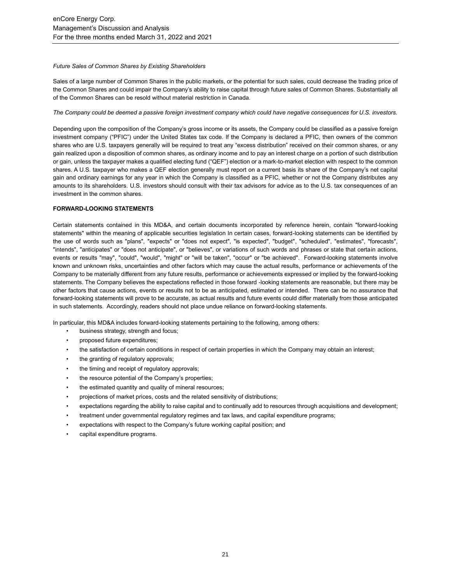## *Future Sales of Common Shares by Existing Shareholders*

Sales of a large number of Common Shares in the public markets, or the potential for such sales, could decrease the trading price of the Common Shares and could impair the Company's ability to raise capital through future sales of Common Shares. Substantially all of the Common Shares can be resold without material restriction in Canada.

## *The Company could be deemed a passive foreign investment company which could have negative consequences for U.S. investors.*

Depending upon the composition of the Company's gross income or its assets, the Company could be classified as a passive foreign investment company ("PFIC") under the United States tax code. If the Company is declared a PFIC, then owners of the common shares who are U.S. taxpayers generally will be required to treat any "excess distribution" received on their common shares, or any gain realized upon a disposition of common shares, as ordinary income and to pay an interest charge on a portion of such distribution or gain, unless the taxpayer makes a qualified electing fund ("QEF") election or a mark-to-market election with respect to the common shares. A U.S. taxpayer who makes a QEF election generally must report on a current basis its share of the Company's net capital gain and ordinary earnings for any year in which the Company is classified as a PFIC, whether or not the Company distributes any amounts to its shareholders. U.S. investors should consult with their tax advisors for advice as to the U.S. tax consequences of an investment in the common shares.

## **FORWARD-LOOKING STATEMENTS**

Certain statements contained in this MD&A, and certain documents incorporated by reference herein, contain "forward-looking statements" within the meaning of applicable securities legislation In certain cases, forward-looking statements can be identified by the use of words such as "plans", "expects" or "does not expect", "is expected", "budget", "scheduled", "estimates", "forecasts", "intends", "anticipates" or "does not anticipate", or "believes", or variations of such words and phrases or state that certain actions, events or results "may", "could", "would", "might" or "will be taken", "occur" or "be achieved". Forward-looking statements involve known and unknown risks, uncertainties and other factors which may cause the actual results, performance or achievements of the Company to be materially different from any future results, performance or achievements expressed or implied by the forward-looking statements. The Company believes the expectations reflected in those forward -looking statements are reasonable, but there may be other factors that cause actions, events or results not to be as anticipated, estimated or intended. There can be no assurance that forward-looking statements will prove to be accurate, as actual results and future events could differ materially from those anticipated in such statements. Accordingly, readers should not place undue reliance on forward-looking statements.

In particular, this MD&A includes forward-looking statements pertaining to the following, among others:

- business strategy, strength and focus;
- proposed future expenditures;
- the satisfaction of certain conditions in respect of certain properties in which the Company may obtain an interest;
- the granting of regulatory approvals;
- the timing and receipt of regulatory approvals;
- the resource potential of the Company's properties;
- the estimated quantity and quality of mineral resources;
- projections of market prices, costs and the related sensitivity of distributions;
- expectations regarding the ability to raise capital and to continually add to resources through acquisitions and development;
- treatment under governmental regulatory regimes and tax laws, and capital expenditure programs;
- expectations with respect to the Company's future working capital position; and
- capital expenditure programs.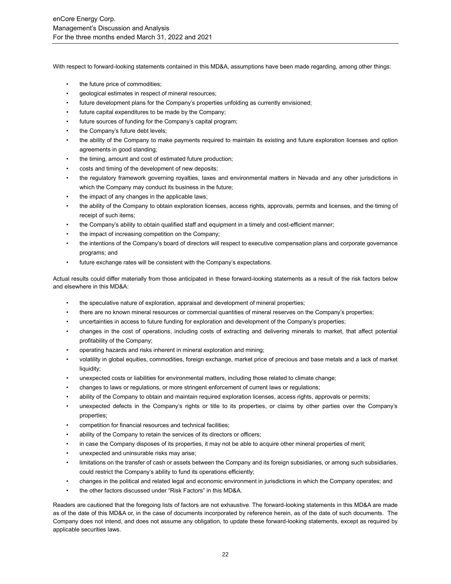With respect to forward-looking statements contained in this MD&A, assumptions have been made regarding, among other things:

- the future price of commodities;
- geological estimates in respect of mineral resources;
- future development plans for the Company's properties unfolding as currently envisioned;
- future capital expenditures to be made by the Company;
- future sources of funding for the Company's capital program;
- the Company's future debt levels;
- the ability of the Company to make payments required to maintain its existing and future exploration licenses and option agreements in good standing;
- the timing, amount and cost of estimated future production;
- costs and timing of the development of new deposits;
- the regulatory framework governing royalties, taxes and environmental matters in Nevada and any other jurisdictions in which the Company may conduct its business in the future;
- the impact of any changes in the applicable laws;
- the ability of the Company to obtain exploration licenses, access rights, approvals, permits and licenses, and the timing of receipt of such items;
- the Company's ability to obtain qualified staff and equipment in a timely and cost-efficient manner;
- the impact of increasing competition on the Company;
- the intentions of the Company's board of directors will respect to executive compensation plans and corporate governance programs; and
- future exchange rates will be consistent with the Company's expectations.

Actual results could differ materially from those anticipated in these forward-looking statements as a result of the risk factors below and elsewhere in this MD&A:

- the speculative nature of exploration, appraisal and development of mineral properties;
- there are no known mineral resources or commercial quantities of mineral reserves on the Company's properties;
- uncertainties in access to future funding for exploration and development of the Company's properties;
- changes in the cost of operations, including costs of extracting and delivering minerals to market, that affect potential profitability of the Company;
- operating hazards and risks inherent in mineral exploration and mining;
- volatility in global equities, commodities, foreign exchange, market price of precious and base metals and a lack of market liquidity;
- unexpected costs or liabilities for environmental matters, including those related to climate change;
- changes to laws or regulations, or more stringent enforcement of current laws or regulations;
- ability of the Company to obtain and maintain required exploration licenses, access rights, approvals or permits;
- unexpected defects in the Company's rights or title to its properties, or claims by other parties over the Company's properties;
- competition for financial resources and technical facilities;
- ability of the Company to retain the services of its directors or officers;
- in case the Company disposes of its properties, it may not be able to acquire other mineral properties of merit;
- unexpected and uninsurable risks may arise;
- limitations on the transfer of cash or assets between the Company and its foreign subsidiaries, or among such subsidiaries, could restrict the Company's ability to fund its operations efficiently;
- changes in the political and related legal and economic environment in jurisdictions in which the Company operates; and
- the other factors discussed under "Risk Factors" in this MD&A.

Readers are cautioned that the foregoing lists of factors are not exhaustive. The forward-looking statements in this MD&A are made as of the date of this MD&A or, in the case of documents incorporated by reference herein, as of the date of such documents. The Company does not intend, and does not assume any obligation, to update these forward-looking statements, except as required by applicable securities laws.